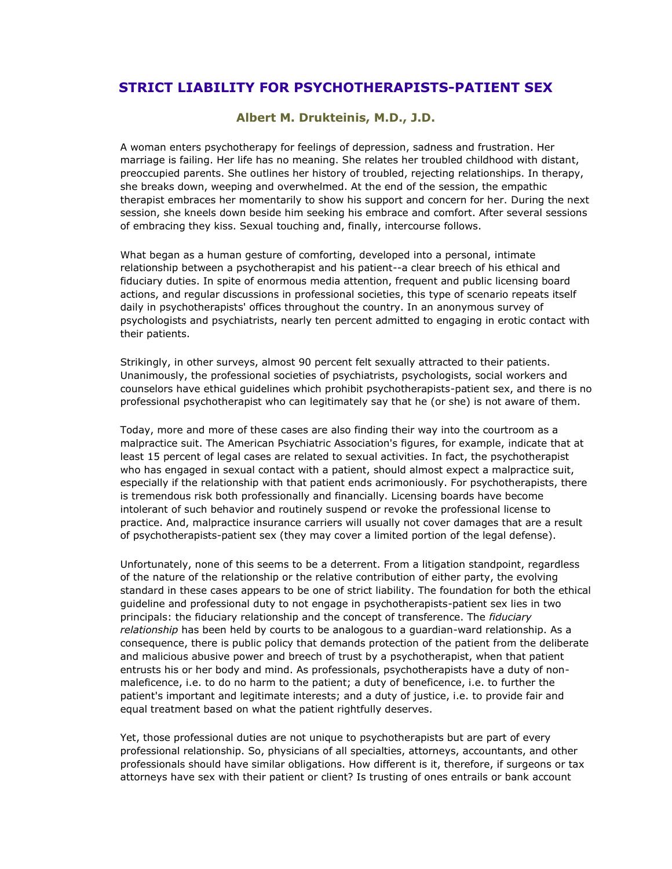## **STRICT LIABILITY FOR PSYCHOTHERAPISTS-PATIENT SEX**

## **Albert M. Drukteinis, M.D., J.D.**

A woman enters psychotherapy for feelings of depression, sadness and frustration. Her marriage is failing. Her life has no meaning. She relates her troubled childhood with distant, preoccupied parents. She outlines her history of troubled, rejecting relationships. In therapy, she breaks down, weeping and overwhelmed. At the end of the session, the empathic therapist embraces her momentarily to show his support and concern for her. During the next session, she kneels down beside him seeking his embrace and comfort. After several sessions of embracing they kiss. Sexual touching and, finally, intercourse follows.

What began as a human gesture of comforting, developed into a personal, intimate relationship between a psychotherapist and his patient--a clear breech of his ethical and fiduciary duties. In spite of enormous media attention, frequent and public licensing board actions, and regular discussions in professional societies, this type of scenario repeats itself daily in psychotherapists' offices throughout the country. In an anonymous survey of psychologists and psychiatrists, nearly ten percent admitted to engaging in erotic contact with their patients.

Strikingly, in other surveys, almost 90 percent felt sexually attracted to their patients. Unanimously, the professional societies of psychiatrists, psychologists, social workers and counselors have ethical guidelines which prohibit psychotherapists-patient sex, and there is no professional psychotherapist who can legitimately say that he (or she) is not aware of them.

Today, more and more of these cases are also finding their way into the courtroom as a malpractice suit. The American Psychiatric Association's figures, for example, indicate that at least 15 percent of legal cases are related to sexual activities. In fact, the psychotherapist who has engaged in sexual contact with a patient, should almost expect a malpractice suit, especially if the relationship with that patient ends acrimoniously. For psychotherapists, there is tremendous risk both professionally and financially. Licensing boards have become intolerant of such behavior and routinely suspend or revoke the professional license to practice. And, malpractice insurance carriers will usually not cover damages that are a result of psychotherapists-patient sex (they may cover a limited portion of the legal defense).

Unfortunately, none of this seems to be a deterrent. From a litigation standpoint, regardless of the nature of the relationship or the relative contribution of either party, the evolving standard in these cases appears to be one of strict liability. The foundation for both the ethical guideline and professional duty to not engage in psychotherapists-patient sex lies in two principals: the fiduciary relationship and the concept of transference. The *fiduciary relationship* has been held by courts to be analogous to a guardian-ward relationship. As a consequence, there is public policy that demands protection of the patient from the deliberate and malicious abusive power and breech of trust by a psychotherapist, when that patient entrusts his or her body and mind. As professionals, psychotherapists have a duty of nonmaleficence, i.e. to do no harm to the patient; a duty of beneficence, i.e. to further the patient's important and legitimate interests; and a duty of justice, i.e. to provide fair and equal treatment based on what the patient rightfully deserves.

Yet, those professional duties are not unique to psychotherapists but are part of every professional relationship. So, physicians of all specialties, attorneys, accountants, and other professionals should have similar obligations. How different is it, therefore, if surgeons or tax attorneys have sex with their patient or client? Is trusting of ones entrails or bank account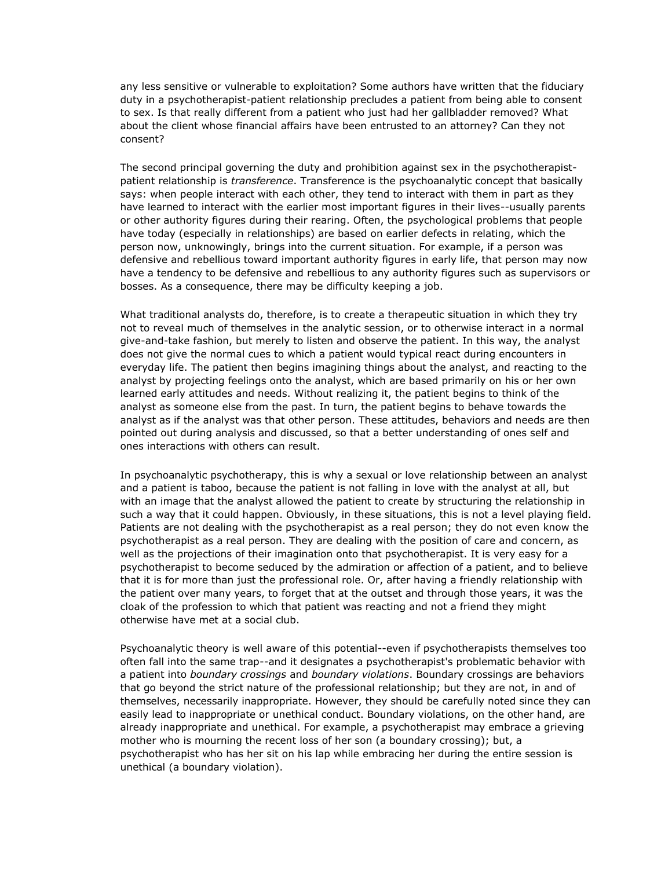any less sensitive or vulnerable to exploitation? Some authors have written that the fiduciary duty in a psychotherapist-patient relationship precludes a patient from being able to consent to sex. Is that really different from a patient who just had her gallbladder removed? What about the client whose financial affairs have been entrusted to an attorney? Can they not consent?

The second principal governing the duty and prohibition against sex in the psychotherapistpatient relationship is *transference*. Transference is the psychoanalytic concept that basically says: when people interact with each other, they tend to interact with them in part as they have learned to interact with the earlier most important figures in their lives--usually parents or other authority figures during their rearing. Often, the psychological problems that people have today (especially in relationships) are based on earlier defects in relating, which the person now, unknowingly, brings into the current situation. For example, if a person was defensive and rebellious toward important authority figures in early life, that person may now have a tendency to be defensive and rebellious to any authority figures such as supervisors or bosses. As a consequence, there may be difficulty keeping a job.

What traditional analysts do, therefore, is to create a therapeutic situation in which they try not to reveal much of themselves in the analytic session, or to otherwise interact in a normal give-and-take fashion, but merely to listen and observe the patient. In this way, the analyst does not give the normal cues to which a patient would typical react during encounters in everyday life. The patient then begins imagining things about the analyst, and reacting to the analyst by projecting feelings onto the analyst, which are based primarily on his or her own learned early attitudes and needs. Without realizing it, the patient begins to think of the analyst as someone else from the past. In turn, the patient begins to behave towards the analyst as if the analyst was that other person. These attitudes, behaviors and needs are then pointed out during analysis and discussed, so that a better understanding of ones self and ones interactions with others can result.

In psychoanalytic psychotherapy, this is why a sexual or love relationship between an analyst and a patient is taboo, because the patient is not falling in love with the analyst at all, but with an image that the analyst allowed the patient to create by structuring the relationship in such a way that it could happen. Obviously, in these situations, this is not a level playing field. Patients are not dealing with the psychotherapist as a real person; they do not even know the psychotherapist as a real person. They are dealing with the position of care and concern, as well as the projections of their imagination onto that psychotherapist. It is very easy for a psychotherapist to become seduced by the admiration or affection of a patient, and to believe that it is for more than just the professional role. Or, after having a friendly relationship with the patient over many years, to forget that at the outset and through those years, it was the cloak of the profession to which that patient was reacting and not a friend they might otherwise have met at a social club.

Psychoanalytic theory is well aware of this potential--even if psychotherapists themselves too often fall into the same trap--and it designates a psychotherapist's problematic behavior with a patient into *boundary crossings* and *boundary violations*. Boundary crossings are behaviors that go beyond the strict nature of the professional relationship; but they are not, in and of themselves, necessarily inappropriate. However, they should be carefully noted since they can easily lead to inappropriate or unethical conduct. Boundary violations, on the other hand, are already inappropriate and unethical. For example, a psychotherapist may embrace a grieving mother who is mourning the recent loss of her son (a boundary crossing); but, a psychotherapist who has her sit on his lap while embracing her during the entire session is unethical (a boundary violation).